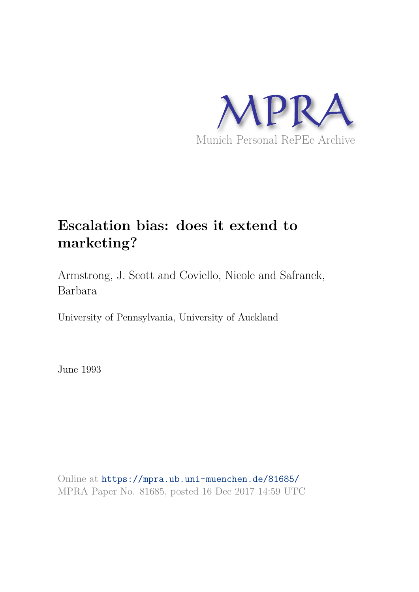

## **Escalation bias: does it extend to marketing?**

Armstrong, J. Scott and Coviello, Nicole and Safranek, Barbara

University of Pennsylvania, University of Auckland

June 1993

Online at https://mpra.ub.uni-muenchen.de/81685/ MPRA Paper No. 81685, posted 16 Dec 2017 14:59 UTC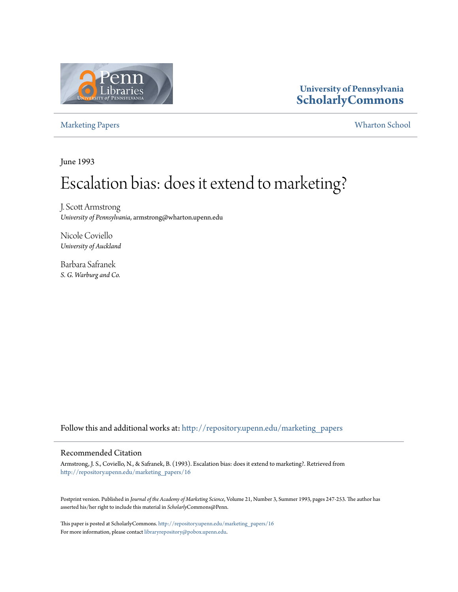

### **University of Pennsylvania ScholarlyCommons**

Marketing Papers Wharton School

June 1993

# Escalation bias: does it extend to marketing?

J. Scott Armstrong *University of Pennsylvania*, armstrong@wharton.upenn.edu

Nicole Coviello *University of Auckland*

Barbara Safranek *S. G. Warburg and Co.*

Follow this and additional works at: http://repository.upenn.edu/marketing\_papers

#### Recommended Citation

Armstrong, J. S., Coviello, N., & Safranek, B. (1993). Escalation bias: does it extend to marketing?. Retrieved from http://repository.upenn.edu/marketing\_papers/16

Postprint version. Published in *Journal of the Academy of Marketing Science*, Volume 21, Number 3, Summer 1993, pages 247-253. The author has asserted his/her right to include this material in *Scholarly*Commons@Penn.

This paper is posted at ScholarlyCommons. http://repository.upenn.edu/marketing\_papers/16 For more information, please contact libraryrepository@pobox.upenn.edu.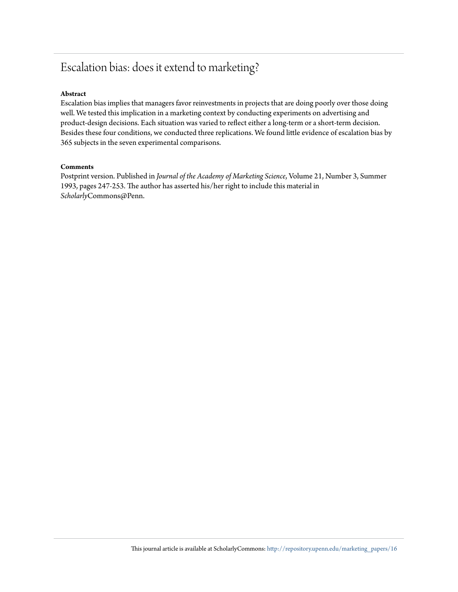### Escalation bias: does it extend to marketing?

#### **Abstract**

Escalation bias implies that managers favor reinvestments in projects that are doing poorly over those doing well. We tested this implication in a marketing context by conducting experiments on advertising and product-design decisions. Each situation was varied to reflect either a long-term or a short-term decision. Besides these four conditions, we conducted three replications. We found little evidence of escalation bias by 365 subjects in the seven experimental comparisons.

#### **Comments**

Postprint version. Published in *Journal of the Academy of Marketing Science*, Volume 21, Number 3, Summer 1993, pages 247-253. The author has asserted his/her right to include this material in *Scholarly*Commons@Penn.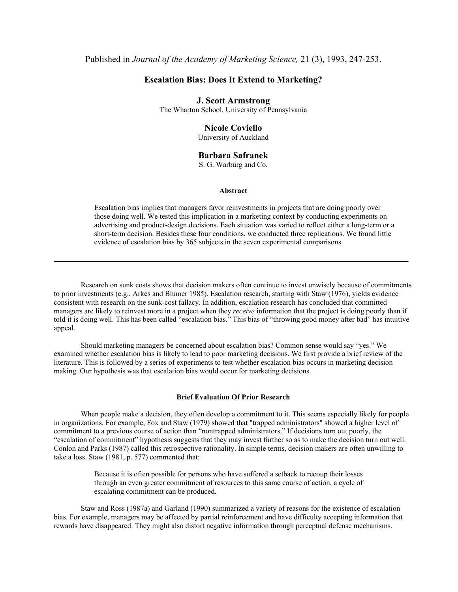#### **Escalation Bias: Does It Extend to Marketing?**

#### **J. Scott Armstrong**

The Wharton School, University of Pennsylvania

#### **Nicole Coviello**

University of Auckland

#### **Barbara Safranek**

S. G. Warburg and Co.

#### **Abstract**

Escalation bias implies that managers favor reinvestments in projects that are doing poorly over those doing well. We tested this implication in a marketing context by conducting experiments on advertising and product-design decisions. Each situation was varied to reflect either a long-term or a short-term decision. Besides these four conditions, we conducted three replications. We found little evidence of escalation bias by 365 subjects in the seven experimental comparisons.

Research on sunk costs shows that decision makers often continue to invest unwisely because of commitments to prior investments (e.g., Arkes and Blumer 1985). Escalation research, starting with Staw (1976), yields evidence consistent with research on the sunk-cost fallacy. In addition, escalation research has concluded that committed managers are likely to reinvest more in a project when they *receive* information that the project is doing poorly than if told it is doing well. This has been called "escalation bias." This bias of "throwing good money after bad" has intuitive appeal.

Should marketing managers be concerned about escalation bias? Common sense would say "yes." We examined whether escalation bias is likely to lead to poor marketing decisions. We first provide a brief review of the literature. This is followed by a series of experiments to test whether escalation bias occurs in marketing decision making. Our hypothesis was that escalation bias would occur for marketing decisions.

#### **Brief Evaluation Of Prior Research**

When people make a decision, they often develop a commitment to it. This seems especially likely for people in organizations. For example, Fox and Staw (1979) showed that "trapped administrators" showed a higher level of commitment to a previous course of action than "nontrapped administrators." If decisions turn out poorly, the "escalation of commitment" hypothesis suggests that they may invest further so as to make the decision turn out well. Conlon and Parks (1987) called this retrospective rationality. In simple terms, decision makers are often unwilling to take a loss. Staw (1981, p. 577) commented that:

> Because it is often possible for persons who have suffered a setback to recoup their losses through an even greater commitment of resources to this same course of action, a cycle of escalating commitment can be produced.

Staw and Ross (1987a) and Garland (1990) summarized a variety of reasons for the existence of escalation bias. For example, managers may be affected by partial reinforcement and have difficulty accepting information that rewards have disappeared. They might also distort negative information through perceptual defense mechanisms.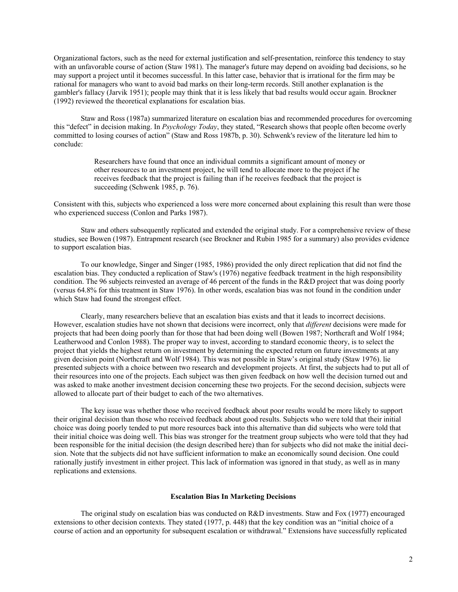Organizational factors, such as the need for external justification and self-presentation, reinforce this tendency to stay with an unfavorable course of action (Staw 1981). The manager's future may depend on avoiding bad decisions, so he may support a project until it becomes successful. In this latter case, behavior that is irrational for the firm may be rational for managers who want to avoid bad marks on their long-term records. Still another explanation is the gambler's fallacy (Jarvik 1951); people may think that it is less likely that bad results would occur again. Brockner (1992) reviewed the theoretical explanations for escalation bias.

Staw and Ross (1987a) summarized literature on escalation bias and recommended procedures for overcoming this "defect" in decision making. In *Psychology Today*, they stated, "Research shows that people often become overly committed to losing courses of action" (Staw and Ross 1987b, p. 30). Schwenk's review of the literature led him to conclude:

> Researchers have found that once an individual commits a significant amount of money or other resources to an investment project, he will tend to allocate more to the project if he receives feedback that the project is failing than if he receives feedback that the project is succeeding (Schwenk 1985, p. 76).

Consistent with this, subjects who experienced a loss were more concerned about explaining this result than were those who experienced success (Conlon and Parks 1987).

Staw and others subsequently replicated and extended the original study. For a comprehensive review of these studies, see Bowen (1987). Entrapment research (see Brockner and Rubin 1985 for a summary) also provides evidence to support escalation bias.

To our knowledge, Singer and Singer (1985, 1986) provided the only direct replication that did not find the escalation bias. They conducted a replication of Staw's (1976) negative feedback treatment in the high responsibility condition. The 96 subjects reinvested an average of 46 percent of the funds in the R&D project that was doing poorly (versus 64.8% for this treatment in Staw 1976). In other words, escalation bias was not found in the condition under which Staw had found the strongest effect.

Clearly, many researchers believe that an escalation bias exists and that it leads to incorrect decisions. However, escalation studies have not shown that decisions were incorrect, only that *different* decisions were made for projects that had been doing poorly than for those that had been doing well (Bowen 1987; Northcraft and Wolf 1984; Leatherwood and Conlon 1988). The proper way to invest, according to standard economic theory, is to select the project that yields the highest return on investment by determining the expected return on future investments at any given decision point (Northcraft and Wolf 1984). This was not possible in Staw's original study (Staw 1976). lie presented subjects with a choice between two research and development projects. At first, the subjects had to put all of their resources into one of the projects. Each subject was then given feedback on how well the decision turned out and was asked to make another investment decision concerning these two projects. For the second decision, subjects were allowed to allocate part of their budget to each of the two alternatives.

The key issue was whether those who received feedback about poor results would be more likely to support their original decision than those who received feedback about good results. Subjects who were told that their initial choice was doing poorly tended to put more resources back into this alternative than did subjects who were told that their initial choice was doing well. This bias was stronger for the treatment group subjects who were told that they had been responsible for the initial decision (the design described here) than for subjects who did not make the initial decision. Note that the subjects did not have sufficient information to make an economically sound decision. One could rationally justify investment in either project. This lack of information was ignored in that study, as well as in many replications and extensions.

#### **Escalation Bias In Marketing Decisions**

The original study on escalation bias was conducted on R&D investments. Staw and Fox (1977) encouraged extensions to other decision contexts. They stated (1977, p. 448) that the key condition was an "initial choice of a course of action and an opportunity for subsequent escalation or withdrawal." Extensions have successfully replicated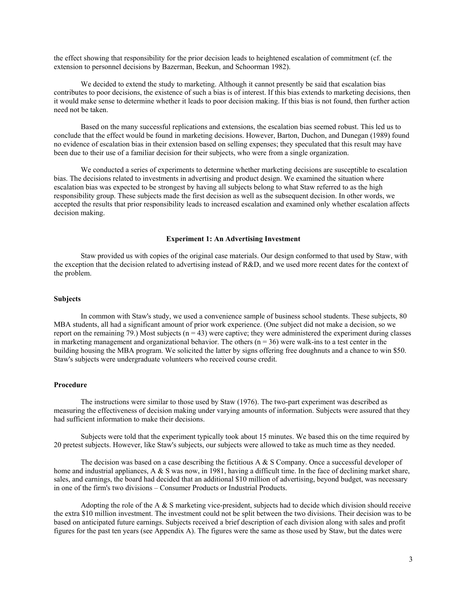the effect showing that responsibility for the prior decision leads to heightened escalation of commitment (cf. the extension to personnel decisions by Bazerman, Beekun, and Schoorman 1982).

We decided to extend the study to marketing. Although it cannot presently be said that escalation bias contributes to poor decisions, the existence of such a bias is of interest. If this bias extends to marketing decisions, then it would make sense to determine whether it leads to poor decision making. If this bias is not found, then further action need not be taken.

Based on the many successful replications and extensions, the escalation bias seemed robust. This led us to conclude that the effect would be found in marketing decisions. However, Barton, Duchon, and Dunegan (1989) found no evidence of escalation bias in their extension based on selling expenses; they speculated that this result may have been due to their use of a familiar decision for their subjects, who were from a single organization.

We conducted a series of experiments to determine whether marketing decisions are susceptible to escalation bias. The decisions related to investments in advertising and product design. We examined the situation where escalation bias was expected to be strongest by having all subjects belong to what Staw referred to as the high responsibility group. These subjects made the first decision as well as the subsequent decision. In other words, we accepted the results that prior responsibility leads to increased escalation and examined only whether escalation affects decision making.

#### **Experiment 1: An Advertising Investment**

Staw provided us with copies of the original case materials. Our design conformed to that used by Staw, with the exception that the decision related to advertising instead of R&D, and we used more recent dates for the context of the problem.

#### **Subjects**

In common with Staw's study, we used a convenience sample of business school students. These subjects, 80 MBA students, all had a significant amount of prior work experience. (One subject did not make a decision, so we report on the remaining 79.) Most subjects  $(n = 43)$  were captive; they were administered the experiment during classes in marketing management and organizational behavior. The others  $(n = 36)$  were walk-ins to a test center in the building housing the MBA program. We solicited the latter by signs offering free doughnuts and a chance to win \$50. Staw's subjects were undergraduate volunteers who received course credit.

#### **Procedure**

The instructions were similar to those used by Staw (1976). The two-part experiment was described as measuring the effectiveness of decision making under varying amounts of information. Subjects were assured that they had sufficient information to make their decisions.

Subjects were told that the experiment typically took about 15 minutes. We based this on the time required by 20 pretest subjects. However, like Staw's subjects, our subjects were allowed to take as much time as they needed.

The decision was based on a case describing the fictitious A  $\& S$  Company. Once a successful developer of home and industrial appliances,  $A \& S$  was now, in 1981, having a difficult time. In the face of declining market share, sales, and earnings, the board had decided that an additional \$10 million of advertising, beyond budget, was necessary in one of the firm's two divisions – Consumer Products or Industrial Products.

Adopting the role of the A & S marketing vice-president, subjects had to decide which division should receive the extra \$10 million investment. The investment could not be split between the two divisions. Their decision was to be based on anticipated future earnings. Subjects received a brief description of each division along with sales and profit figures for the past ten years (see Appendix A). The figures were the same as those used by Staw, but the dates were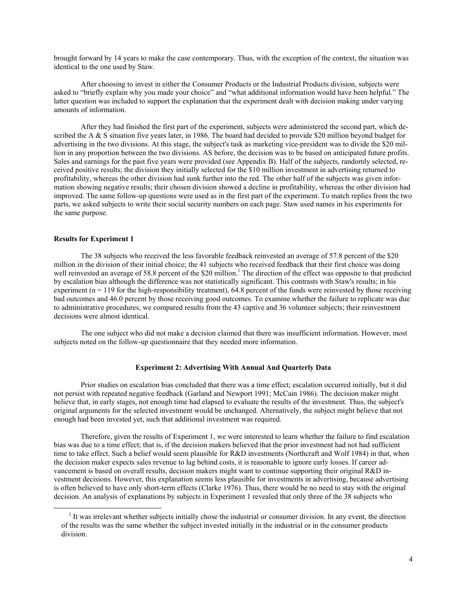brought forward by 14 years to make the case contemporary. Thus, with the exception of the context, the situation was identical to the one used by Staw.

After choosing to invest in either the Consumer Products or the Industrial Products division, subjects were asked to "briefly explain why you made your choice" and "what additional information would have been helpful." The latter question was included to support the explanation that the experiment dealt with decision making under varying amounts of information.

After they had finished the first part of the experiment, subjects were administered the second part, which described the A & S situation five years later, in 1986. The board had decided to provide \$20 million beyond budget for advertising in the two divisions. At this stage, the subject's task as marketing vice-president was to divide the \$20 million in any proportion between the two divisions. AS before, the decision was to be based on anticipated future profits. Sales and earnings for the past five years were provided (see Appendix B). Half of the subjects, randomly selected, received positive results; the division they initially selected for the \$10 million investment in advertising returned to profitability, whereas the other division had sunk further into the red. The other half of the subjects was given information showing negative results; their chosen division showed a decline in profitability, whereas the other division had improved. The same follow-up questions were used as in the first part of the experiment. To match replies from the two parts, we asked subjects to write their social security numbers on each page. Staw used names in his experiments for the same purpose.

#### **Results for Experiment 1**

 $\overline{a}$ 

The 38 subjects who received the less favorable feedback reinvested an average of 57.8 percent of the \$20 million in the division of their initial choice; the 41 subjects who received feedback that their first choice was doing well reinvested an average of 58.8 percent of the \$20 million.<sup>1</sup> The direction of the effect was opposite to that predicted by escalation bias although the difference was not statistically significant. This contrasts with Staw's results; in his experiment  $(n = 119)$  for the high-responsibility treatment), 64.8 percent of the funds were reinvested by those receiving bad outcomes and 46.0 percent by those receiving good outcomes. To examine whether the failure to replicate was due to administrative procedures, we compared results from the 43 captive and 36 volunteer subjects; their reinvestment decisions were almost identical.

The one subject who did not make a decision claimed that there was insufficient information. However, most subjects noted on the follow-up questionnaire that they needed more information.

#### **Experiment 2: Advertising With Annual And Quarterly Data**

Prior studies on escalation bias concluded that there was a time effect; escalation occurred initially, but it did not persist with repeated negative feedback (Garland and Newport 1991; McCain 1986). The decision maker might believe that, in early stages, not enough time had elapsed to evaluate the results of the investment. Thus, the subject's original arguments for the selected investment would be unchanged. Alternatively, the subject might believe that not enough had been invested yet, such that additional investment was required.

Therefore, given the results of Experiment 1, we were interested to learn whether the failure to find escalation bias was due to a time effect; that is, if the decision makers believed that the prior investment had not had sufficient time to take effect. Such a belief would seem plausible for R&D investments (Northcraft and Wolf 1984) in that, when the decision maker expects sales revenue to lag behind costs, it is reasonable to ignore early losses. If career advancement is based on overall results, decision makers might want to continue supporting their original R&D investment decisions. However, this explanation seems less plausible for investments in advertising, because advertising is often believed to have only short-term effects (Clarke 1976). Thus, there would be no need to stay with the original decision. An analysis of explanations by subjects in Experiment 1 revealed that only three of the 38 subjects who

 $<sup>1</sup>$  It was irrelevant whether subjects initially chose the industrial or consumer division. In any event, the direction</sup> of the results was the same whether the subject invested initially in the industrial or in the consumer products division.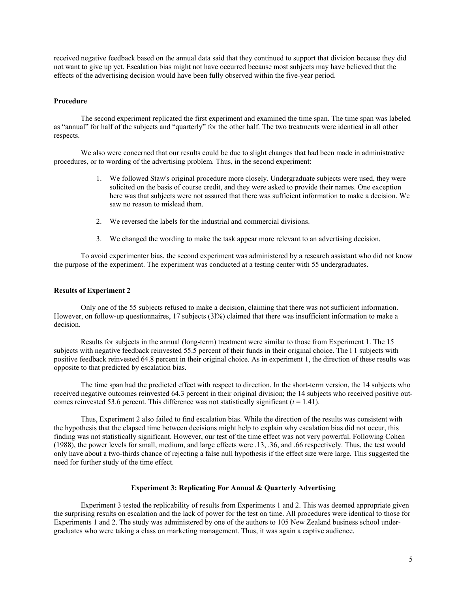received negative feedback based on the annual data said that they continued to support that division because they did not want to give up yet. Escalation bias might not have occurred because most subjects may have believed that the effects of the advertising decision would have been fully observed within the five-year period.

#### **Procedure**

The second experiment replicated the first experiment and examined the time span. The time span was labeled as "annual" for half of the subjects and "quarterly" for the other half. The two treatments were identical in all other respects.

We also were concerned that our results could be due to slight changes that had been made in administrative procedures, or to wording of the advertising problem. Thus, in the second experiment:

- 1. We followed Staw's original procedure more closely. Undergraduate subjects were used, they were solicited on the basis of course credit, and they were asked to provide their names. One exception here was that subjects were not assured that there was sufficient information to make a decision. We saw no reason to mislead them.
- 2. We reversed the labels for the industrial and commercial divisions.
- 3. We changed the wording to make the task appear more relevant to an advertising decision.

To avoid experimenter bias, the second experiment was administered by a research assistant who did not know the purpose of the experiment. The experiment was conducted at a testing center with 55 undergraduates.

#### **Results of Experiment 2**

Only one of the 55 subjects refused to make a decision, claiming that there was not sufficient information. However, on follow-up questionnaires, 17 subjects (3l%) claimed that there was insufficient information to make a decision.

Results for subjects in the annual (long-term) treatment were similar to those from Experiment 1. The 15 subjects with negative feedback reinvested 55.5 percent of their funds in their original choice. The l 1 subjects with positive feedback reinvested 64.8 percent in their original choice. As in experiment 1, the direction of these results was opposite to that predicted by escalation bias.

The time span had the predicted effect with respect to direction. In the short-term version, the 14 subjects who received negative outcomes reinvested 64.3 percent in their original division; the 14 subjects who received positive outcomes reinvested 53.6 percent. This difference was not statistically significant  $(t = 1.41)$ .

Thus, Experiment 2 also failed to find escalation bias. While the direction of the results was consistent with the hypothesis that the elapsed time between decisions might help to explain why escalation bias did not occur, this finding was not statistically significant. However, our test of the time effect was not very powerful. Following Cohen (1988), the power levels for small, medium, and large effects were .13, .36, and .66 respectively. Thus, the test would only have about a two-thirds chance of rejecting a false null hypothesis if the effect size were large. This suggested the need for further study of the time effect.

#### **Experiment 3: Replicating For Annual & Quarterly Advertising**

Experiment 3 tested the replicability of results from Experiments 1 and 2. This was deemed appropriate given the surprising results on escalation and the lack of power for the test on time. All procedures were identical to those for Experiments 1 and 2. The study was administered by one of the authors to 105 New Zealand business school undergraduates who were taking a class on marketing management. Thus, it was again a captive audience.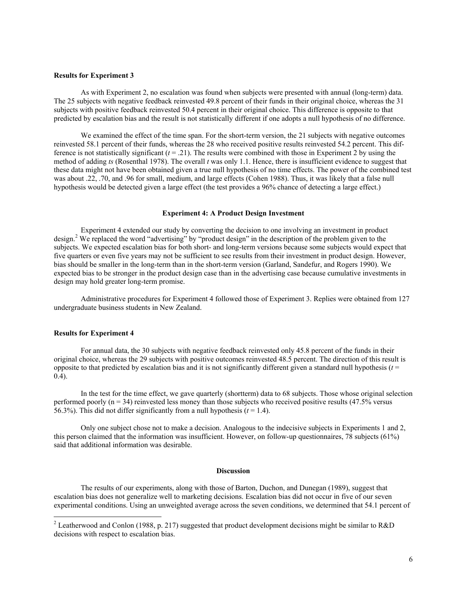#### **Results for Experiment 3**

As with Experiment 2, no escalation was found when subjects were presented with annual (long-term) data. The 25 subjects with negative feedback reinvested 49.8 percent of their funds in their original choice, whereas the 31 subjects with positive feedback reinvested 50.4 percent in their original choice. This difference is opposite to that predicted by escalation bias and the result is not statistically different if one adopts a null hypothesis of no difference.

We examined the effect of the time span. For the short-term version, the 21 subjects with negative outcomes reinvested 58.1 percent of their funds, whereas the 28 who received positive results reinvested 54.2 percent. This difference is not statistically significant  $(t = .21)$ . The results were combined with those in Experiment 2 by using the method of adding *ts* (Rosenthal 1978). The overall *t* was only 1.1. Hence, there is insufficient evidence to suggest that these data might not have been obtained given a true null hypothesis of no time effects. The power of the combined test was about .22, .70, and .96 for small, medium, and large effects (Cohen 1988). Thus, it was likely that a false null hypothesis would be detected given a large effect (the test provides a 96% chance of detecting a large effect.)

#### **Experiment 4: A Product Design Investment**

Experiment 4 extended our study by converting the decision to one involving an investment in product design.<sup>2</sup> We replaced the word "advertising" by "product design" in the description of the problem given to the subjects. We expected escalation bias for both short- and long-term versions because some subjects would expect that five quarters or even five years may not be sufficient to see results from their investment in product design. However, bias should be smaller in the long-term than in the short-term version (Garland, Sandefur, and Rogers 1990). We expected bias to be stronger in the product design case than in the advertising case because cumulative investments in design may hold greater long-term promise.

Administrative procedures for Experiment 4 followed those of Experiment 3. Replies were obtained from 127 undergraduate business students in New Zealand.

#### **Results for Experiment 4**

For annual data, the 30 subjects with negative feedback reinvested only 45.8 percent of the funds in their original choice, whereas the 29 subjects with positive outcomes reinvested 48.5 percent. The direction of this result is opposite to that predicted by escalation bias and it is not significantly different given a standard null hypothesis  $(t =$ 0.4).

In the test for the time effect, we gave quarterly (shortterm) data to 68 subjects. Those whose original selection performed poorly (n = 34) reinvested less money than those subjects who received positive results (47.5% versus 56.3%). This did not differ significantly from a null hypothesis  $(t = 1.4)$ .

Only one subject chose not to make a decision. Analogous to the indecisive subjects in Experiments 1 and 2, this person claimed that the information was insufficient. However, on follow-up questionnaires, 78 subjects (61%) said that additional information was desirable.

#### **Discussion**

The results of our experiments, along with those of Barton, Duchon, and Dunegan (1989), suggest that escalation bias does not generalize well to marketing decisions. Escalation bias did not occur in five of our seven experimental conditions. Using an unweighted average across the seven conditions, we determined that 54.1 percent of

<sup>&</sup>lt;sup>2</sup> Leatherwood and Conlon (1988, p. 217) suggested that product development decisions might be similar to R&D decisions with respect to escalation bias.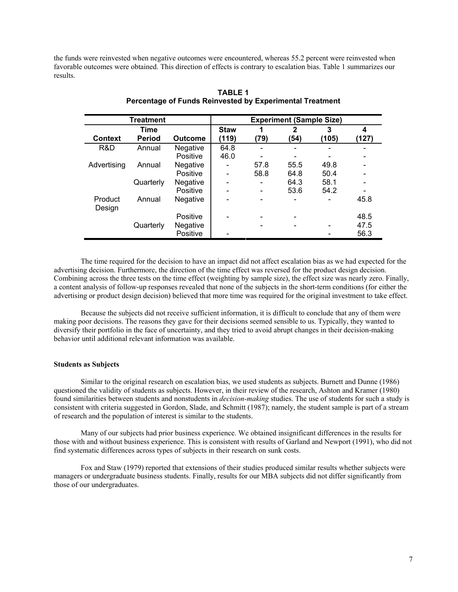the funds were reinvested when negative outcomes were encountered, whereas 55.2 percent were reinvested when favorable outcomes were obtained. This direction of effects is contrary to escalation bias. Table 1 summarizes our results.

| <b>Treatment</b>  |               |                 | <b>Experiment (Sample Size)</b> |      |              |       |       |
|-------------------|---------------|-----------------|---------------------------------|------|--------------|-------|-------|
|                   | Time          |                 | <b>Staw</b>                     | 1    | $\mathbf{2}$ | 3     | 4     |
| <b>Context</b>    | <b>Period</b> | <b>Outcome</b>  | (119)                           | (79) | (54)         | (105) | (127) |
| R&D               | Annual        | <b>Negative</b> | 64.8                            |      |              |       |       |
|                   |               | Positive        | 46.0                            |      |              |       |       |
| Advertising       | Annual        | <b>Negative</b> | $\overline{\phantom{0}}$        | 57.8 | 55.5         | 49.8  |       |
|                   |               | Positive        |                                 | 58.8 | 64.8         | 50.4  |       |
|                   | Quarterly     | Negative        |                                 |      | 64.3         | 58.1  |       |
|                   |               | <b>Positive</b> |                                 |      | 53.6         | 54.2  |       |
| Product<br>Design | Annual        | Negative        |                                 |      |              |       | 45.8  |
|                   |               | Positive        |                                 |      |              |       | 48.5  |
|                   | Quarterly     | Negative        |                                 |      |              |       | 47.5  |
|                   |               | Positive        |                                 |      |              |       | 56.3  |

#### **TABLE 1 Percentage of Funds Reinvested by Experimental Treatment**

The time required for the decision to have an impact did not affect escalation bias as we had expected for the advertising decision. Furthermore, the direction of the time effect was reversed for the product design decision. Combining across the three tests on the time effect (weighting by sample size), the effect size was nearly zero. Finally, a content analysis of follow-up responses revealed that none of the subjects in the short-term conditions (for either the advertising or product design decision) believed that more time was required for the original investment to take effect.

Because the subjects did not receive sufficient information, it is difficult to conclude that any of them were making poor decisions. The reasons they gave for their decisions seemed sensible to us. Typically, they wanted to diversify their portfolio in the face of uncertainty, and they tried to avoid abrupt changes in their decision-making behavior until additional relevant information was available.

#### **Students as Subjects**

Similar to the original research on escalation bias, we used students as subjects. Burnett and Dunne (1986) questioned the validity of students as subjects. However, in their review of the research, Ashton and Kramer (1980) found similarities between students and nonstudents in *decision-making* studies. The use of students for such a study is consistent with criteria suggested in Gordon, Slade, and Schmitt (1987); namely, the student sample is part of a stream of research and the population of interest is similar to the students.

Many of our subjects had prior business experience. We obtained insignificant differences in the results for those with and without business experience. This is consistent with results of Garland and Newport (1991), who did not find systematic differences across types of subjects in their research on sunk costs.

Fox and Staw (1979) reported that extensions of their studies produced similar results whether subjects were managers or undergraduate business students. Finally, results for our MBA subjects did not differ significantly from those of our undergraduates.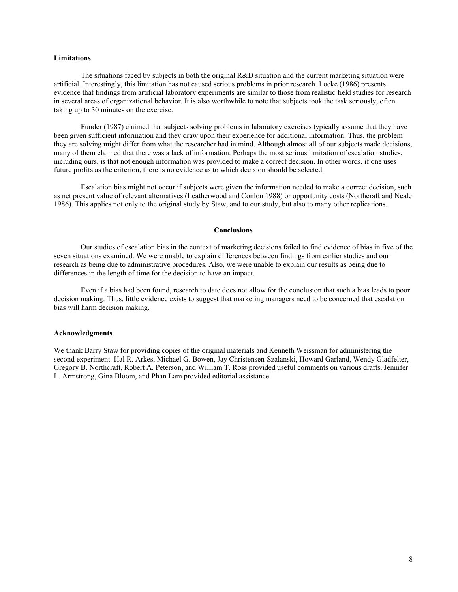#### **Limitations**

The situations faced by subjects in both the original R&D situation and the current marketing situation were artificial. Interestingly, this limitation has not caused serious problems in prior research. Locke (1986) presents evidence that findings from artificial laboratory experiments are similar to those from realistic field studies for research in several areas of organizational behavior. It is also worthwhile to note that subjects took the task seriously, often taking up to 30 minutes on the exercise.

Funder (1987) claimed that subjects solving problems in laboratory exercises typically assume that they have been given sufficient information and they draw upon their experience for additional information. Thus, the problem they are solving might differ from what the researcher had in mind. Although almost all of our subjects made decisions, many of them claimed that there was a lack of information. Perhaps the most serious limitation of escalation studies, including ours, is that not enough information was provided to make a correct decision. In other words, if one uses future profits as the criterion, there is no evidence as to which decision should be selected.

Escalation bias might not occur if subjects were given the information needed to make a correct decision, such as net present value of relevant alternatives (Leatherwood and Conlon 1988) or opportunity costs (Northcraft and Neale 1986). This applies not only to the original study by Staw, and to our study, but also to many other replications.

#### **Conclusions**

Our studies of escalation bias in the context of marketing decisions failed to find evidence of bias in five of the seven situations examined. We were unable to explain differences between findings from earlier studies and our research as being due to administrative procedures. Also, we were unable to explain our results as being due to differences in the length of time for the decision to have an impact.

Even if a bias had been found, research to date does not allow for the conclusion that such a bias leads to poor decision making. Thus, little evidence exists to suggest that marketing managers need to be concerned that escalation bias will harm decision making.

#### **Acknowledgments**

We thank Barry Staw for providing copies of the original materials and Kenneth Weissman for administering the second experiment. Hal R. Arkes, Michael G. Bowen, Jay Christensen-Szalanski, Howard Garland, Wendy Gladfelter, Gregory B. Northcraft, Robert A. Peterson, and William T. Ross provided useful comments on various drafts. Jennifer L. Armstrong, Gina Bloom, and Phan Lam provided editorial assistance.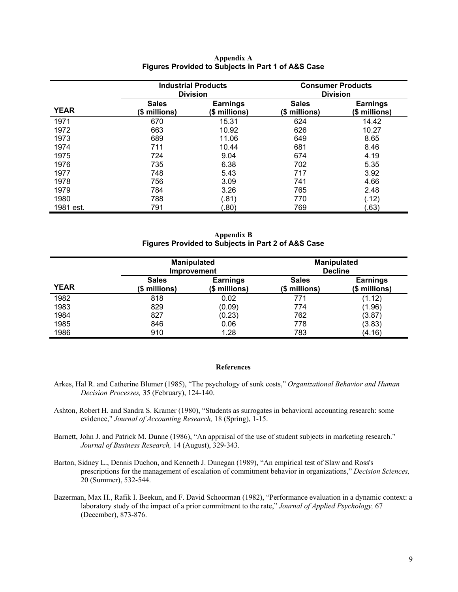|             |                               | <b>Industrial Products</b><br><b>Division</b> | <b>Consumer Products</b><br><b>Division</b> |                                  |  |
|-------------|-------------------------------|-----------------------------------------------|---------------------------------------------|----------------------------------|--|
| <b>YEAR</b> | <b>Sales</b><br>(\$ millions) | <b>Earnings</b><br>(\$ millions)              | <b>Sales</b><br>(\$ millions)               | <b>Earnings</b><br>(\$ millions) |  |
| 1971        | 670                           | 15.31                                         | 624                                         | 14.42                            |  |
| 1972        | 663                           | 10.92                                         | 626                                         | 10.27                            |  |
| 1973        | 689                           | 11.06                                         | 649                                         | 8.65                             |  |
| 1974        | 711                           | 10.44                                         | 681                                         | 8.46                             |  |
| 1975        | 724                           | 9.04                                          | 674                                         | 4.19                             |  |
| 1976        | 735                           | 6.38                                          | 702                                         | 5.35                             |  |
| 1977        | 748                           | 5.43                                          | 717                                         | 3.92                             |  |
| 1978        | 756                           | 3.09                                          | 741                                         | 4.66                             |  |
| 1979        | 784                           | 3.26                                          | 765                                         | 2.48                             |  |
| 1980        | 788                           | (.81)                                         | 770                                         | (.12)                            |  |
| 1981 est.   | 791                           | .80)                                          | 769                                         | (0.63)                           |  |

**Appendix A Figures Provided to Subjects in Part 1 of A&S Case** 

**Appendix B Figures Provided to Subjects in Part 2 of A&S Case** 

|             |                               | <b>Manipulated</b><br><b>Improvement</b> | <b>Manipulated</b><br><b>Decline</b> |                                  |  |
|-------------|-------------------------------|------------------------------------------|--------------------------------------|----------------------------------|--|
| <b>YEAR</b> | <b>Sales</b><br>(\$ millions) | <b>Earnings</b><br>(\$ millions)         | <b>Sales</b><br>(\$ millions)        | <b>Earnings</b><br>(\$ millions) |  |
| 1982        | 818                           | 0.02                                     | 771                                  | (1.12)                           |  |
| 1983        | 829                           | (0.09)                                   | 774                                  | (1.96)                           |  |
| 1984        | 827                           | (0.23)                                   | 762                                  | (3.87)                           |  |
| 1985        | 846                           | 0.06                                     | 778                                  | (3.83)                           |  |
| 1986        | 910                           | 1.28                                     | 783                                  | (4.16)                           |  |

#### **References**

- Arkes, Hal R. and Catherine Blumer (1985), "The psychology of sunk costs," *Organizational Behavior and Human Decision Processes,* 35 (February), 124-140.
- Ashton, Robert H. and Sandra S. Kramer (1980), "Students as surrogates in behavioral accounting research: some evidence," *Journal of Accounting Research,* 18 (Spring), 1-15.
- Barnett, John J. and Patrick M. Dunne (1986), "An appraisal of the use of student subjects in marketing research." *Journal of Business Research,* 14 (August), 329-343.
- Barton, Sidney L., Dennis Duchon, and Kenneth J. Dunegan (1989), "An empirical test of Slaw and Ross's prescriptions for the management of escalation of commitment behavior in organizations," *Decision Sciences,*  20 (Summer), 532-544.
- Bazerman, Max H., Rafik I. Beekun, and F. David Schoorman (1982), "Performance evaluation in a dynamic context: a laboratory study of the impact of a prior commitment to the rate," *Journal of Applied Psychology,* 67 (December), 873-876.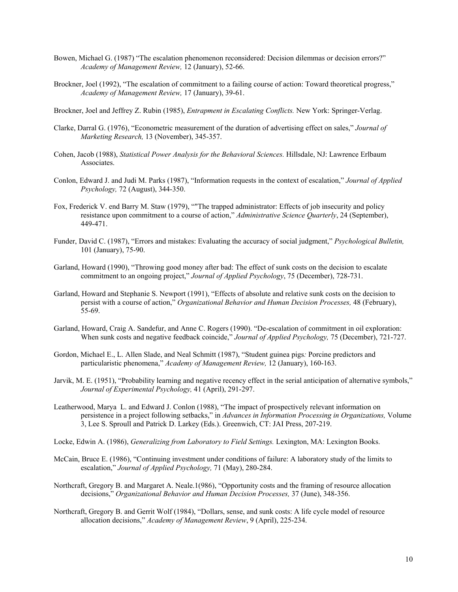- Bowen, Michael G. (1987) "The escalation phenomenon reconsidered: Decision dilemmas or decision errors?" *Academy of Management Review,* 12 (January), 52-66.
- Brockner, Joel (1992), "The escalation of commitment to a failing course of action: Toward theoretical progress," *Academy of Management Review,* 17 (January), 39-61.
- Brockner, Joel and Jeffrey Z. Rubin (1985), *Entrapment in Escalating Conflicts.* New York: Springer-Verlag.
- Clarke, Darral G. (1976), "Econometric measurement of the duration of advertising effect on sales," *Journal of Marketing Research,* 13 (November), 345-357.
- Cohen, Jacob (1988), *Statistical Power Analysis for the Behavioral Sciences.* Hillsdale, NJ: Lawrence Erlbaum Associates.
- Conlon, Edward J. and Judi M. Parks (1987), "Information requests in the context of escalation," *Journal of Applied Psychology,* 72 (August), 344-350.
- Fox, Frederick V. end Barry M. Staw (1979), ""The trapped administrator: Effects of job insecurity and policy resistance upon commitment to a course of action," *Administrative Science Quarterly*, 24 (September), 449-471.
- Funder, David C. (1987), "Errors and mistakes: Evaluating the accuracy of social judgment," *Psychological Bulletin,*  101 (January), 75-90.
- Garland, Howard (1990), "Throwing good money after bad: The effect of sunk costs on the decision to escalate commitment to an ongoing project," *Journal of Applied Psychology*, 75 (December), 728-731.
- Garland, Howard and Stephanie S. Newport (1991), "Effects of absolute and relative sunk costs on the decision to persist with a course of action," *Organizational Behavior and Human Decision Processes,* 48 (February), 55-69.
- Garland, Howard, Craig A. Sandefur, and Anne C. Rogers (1990). "De-escalation of commitment in oil exploration: When sunk costs and negative feedback coincide," *Journal of Applied Psychology,* 75 (December), 721-727.
- Gordon, Michael E., L. Allen Slade, and Neal Schmitt (1987), "Student guinea pigs*:* Porcine predictors and particularistic phenomena," *Academy of Management Review,* 12 (January), 160-163.
- Jarvik, M. E. (1951), "Probability learning and negative recency effect in the serial anticipation of alternative symbols," *Journal of Experimental Psychology,* 41 (April), 291-297.
- Leatherwood, Marya L. and Edward J. Conlon (1988), "The impact of prospectively relevant information on persistence in a project following setbacks," in *Advances in Information Processing in Organizations,* Volume 3, Lee S. Sproull and Patrick D. Larkey (Eds.). Greenwich, CT: JAI Press, 207-219.
- Locke, Edwin A. (1986), *Generalizing from Laboratory to Field Settings.* Lexington, MA: Lexington Books.
- McCain, Bruce E. (1986), "Continuing investment under conditions of failure: A laboratory study of the limits to escalation," *Journal of Applied Psychology,* 71 (May), 280-284.
- Northcraft, Gregory B. and Margaret A. Neale.1(986), "Opportunity costs and the framing of resource allocation decisions," *Organizational Behavior and Human Decision Processes,* 37 (June), 348-356.
- Northcraft, Gregory B. and Gerrit Wolf (1984), "Dollars, sense, and sunk costs: A life cycle model of resource allocation decisions," *Academy of Management Review*, 9 (April), 225-234.